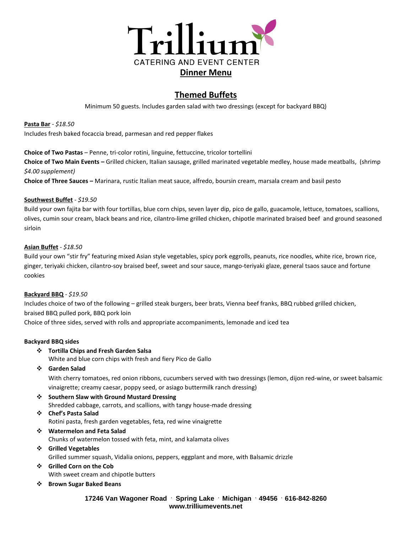

# **Themed Buffets**

Minimum 50 guests. Includes garden salad with two dressings (except for backyard BBQ)

**Pasta Bar** *- \$18.50* Includes fresh baked focaccia bread, parmesan and red pepper flakes

**Choice of Two Pastas** – Penne, tri-color rotini, linguine, fettuccine, tricolor tortellini **Choice of Two Main Events –** Grilled chicken, Italian sausage, grilled marinated vegetable medley, house made meatballs, (shrimp *\$4.00 supplement)*

**Choice of Three Sauces –** Marinara, rustic Italian meat sauce, alfredo, boursin cream, marsala cream and basil pesto

#### **Southwest Buffet** - *\$19.50*

Build your own fajita bar with four tortillas, blue corn chips, seven layer dip, pico de gallo, guacamole, lettuce, tomatoes, scallions, olives, cumin sour cream, black beans and rice, cilantro-lime grilled chicken, chipotle marinated braised beef and ground seasoned sirloin

#### **Asian Buffet** - *\$18.50*

Build your own "stir fry" featuring mixed Asian style vegetables, spicy pork eggrolls, peanuts, rice noodles, white rice, brown rice, ginger, teriyaki chicken, cilantro-soy braised beef, sweet and sour sauce, mango-teriyaki glaze, general tsaos sauce and fortune cookies

#### **Backyard BBQ** - *\$19.50*

Includes choice of two of the following – grilled steak burgers, beer brats, Vienna beef franks, BBQ rubbed grilled chicken, braised BBQ pulled pork, BBQ pork loin

Choice of three sides, served with rolls and appropriate accompaniments, lemonade and iced tea

### **Backyard BBQ sides**

❖ **Tortilla Chips and Fresh Garden Salsa**

White and blue corn chips with fresh and fiery Pico de Gallo

❖ **Garden Salad** 

With cherry tomatoes, red onion ribbons, cucumbers served with two dressings (lemon, dijon red-wine, or sweet balsamic vinaigrette; creamy caesar, poppy seed, or asiago buttermilk ranch dressing)

❖ **Southern Slaw with Ground Mustard Dressing** Shredded cabbage, carrots, and scallions, with tangy house-made dressing

### ❖ **Chef's Pasta Salad** Rotini pasta, fresh garden vegetables, feta, red wine vinaigrette

- ❖ **Watermelon and Feta Salad** Chunks of watermelon tossed with feta, mint, and kalamata olives
- ❖ **Grilled Vegetables** Grilled summer squash, Vidalia onions, peppers, eggplant and more, with Balsamic drizzle
- ❖ **Grilled Corn on the Cob** With sweet cream and chipotle butters
- ❖ **Brown Sugar Baked Beans**

### **17246 Van Wagoner Road . Spring Lake . Michigan . 49456 . 616-842-8260 www.trilliumevents.net**